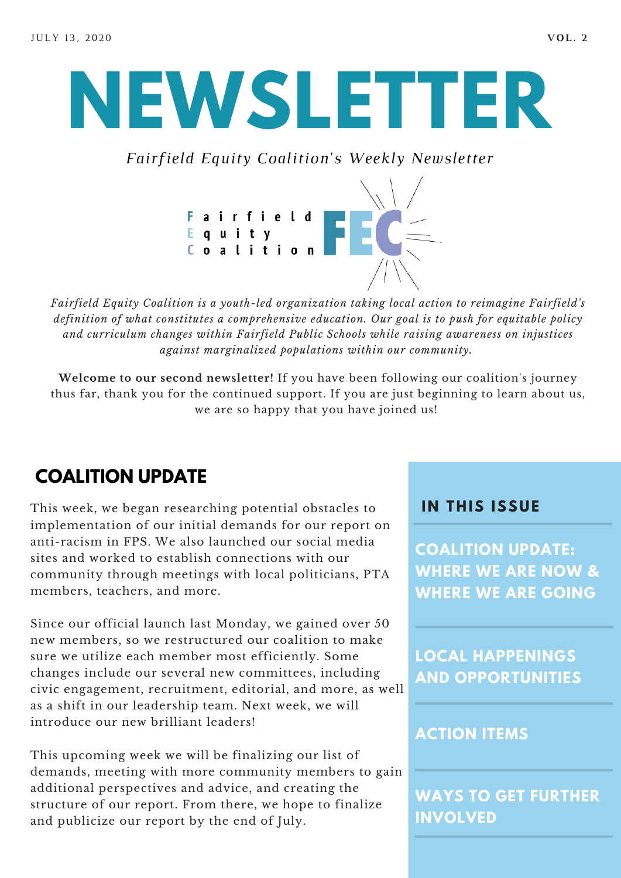# **NEWSLETTER**

*Fairfield Equity Coalition's Weekly Newsletter*



*Fairfield Equity Coalition is a youth-led organization taking local action to reimagine Fairfield's definition of what constitutes a comprehensive education. Our goal is to push for equitable policy and curriculum changes within Fairfield Public Schools while raising awareness on injustices against marginalized populations within our community.*

**Welcome to our second newsletter!** If you have been following our coalition's journey thus far, thank you for the continued support. If you are just beginning to learn about us, we are so happy that you have joined us!

## **COALITION UPDATE**

This week, we began researching potential obstacles to implementation of our initial demands for our report on anti-racism in FPS. We also launched our social media sites and worked to establish connections with our community through meetings with local politicians, PTA members, teachers, and more.

Since our official launch last Monday, we gained over 50 new members, so we restructured our coalition to make sure we utilize each member most efficiently. Some changes include our several new committees, including civic engagement, recruitment, editorial, and more, as well as a shift in our leadership team. Next week, we will introduce our new brilliant leaders!

This upcoming week we will be finalizing our list of demands, meeting with more community members to gain additional perspectives and advice, and creating the structure of our report. From there, we hope to finalize and publicize our report by the end of July.

#### **I N THIS ISSUE**

**COALITION UPDATE: WHERE WE ARE NOW & WHERE WE ARE GOING**

**LOCAL HAPPENINGS AND OPPORTUNITIES**

#### **ACTION ITEMS**

**WAYS TO GET FURTHER INVOLVED**